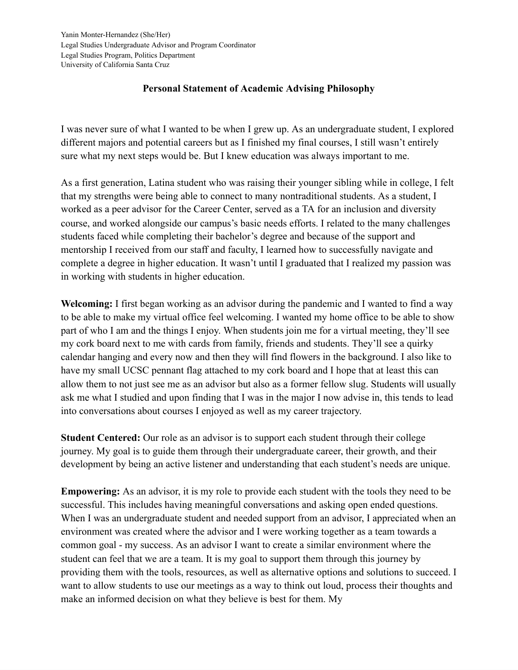## **Personal Statement of Academic Advising Philosophy**

I was never sure of what I wanted to be when I grew up. As an undergraduate student, I explored different majors and potential careers but as I finished my final courses, I still wasn't entirely sure what my next steps would be. But I knew education was always important to me.

As a first generation, Latina student who was raising their younger sibling while in college, I felt that my strengths were being able to connect to many nontraditional students. As a student, I worked as a peer advisor for the Career Center, served as a TA for an inclusion and diversity course, and worked alongside our campus's basic needs efforts. I related to the many challenges students faced while completing their bachelor's degree and because of the support and mentorship I received from our staff and faculty, I learned how to successfully navigate and complete a degree in higher education. It wasn't until I graduated that I realized my passion was in working with students in higher education.

**Welcoming:** I first began working as an advisor during the pandemic and I wanted to find a way to be able to make my virtual office feel welcoming. I wanted my home office to be able to show part of who I am and the things I enjoy. When students join me for a virtual meeting, they'll see my cork board next to me with cards from family, friends and students. They'll see a quirky calendar hanging and every now and then they will find flowers in the background. I also like to have my small UCSC pennant flag attached to my cork board and I hope that at least this can allow them to not just see me as an advisor but also as a former fellow slug. Students will usually ask me what I studied and upon finding that I was in the major I now advise in, this tends to lead into conversations about courses I enjoyed as well as my career trajectory.

**Student Centered:** Our role as an advisor is to support each student through their college journey. My goal is to guide them through their undergraduate career, their growth, and their development by being an active listener and understanding that each student's needs are unique.

**Empowering:** As an advisor, it is my role to provide each student with the tools they need to be successful. This includes having meaningful conversations and asking open ended questions. When I was an undergraduate student and needed support from an advisor, I appreciated when an environment was created where the advisor and I were working together as a team towards a common goal - my success. As an advisor I want to create a similar environment where the student can feel that we are a team. It is my goal to support them through this journey by providing them with the tools, resources, as well as alternative options and solutions to succeed. I want to allow students to use our meetings as a way to think out loud, process their thoughts and make an informed decision on what they believe is best for them. My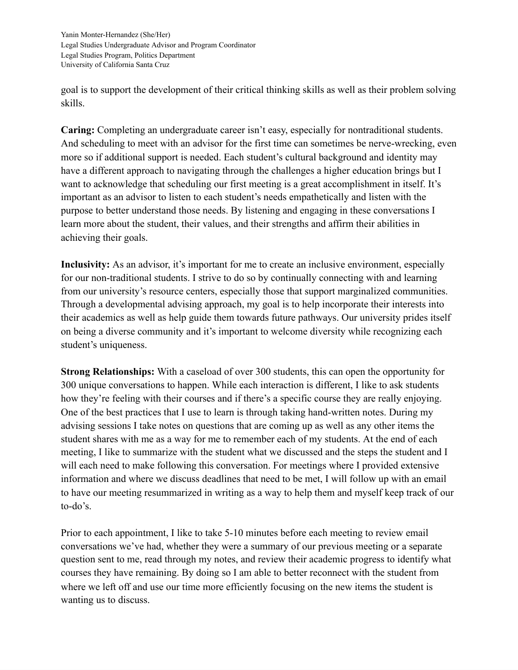goal is to support the development of their critical thinking skills as well as their problem solving skills.

**Caring:** Completing an undergraduate career isn't easy, especially for nontraditional students. And scheduling to meet with an advisor for the first time can sometimes be nerve-wrecking, even more so if additional support is needed. Each student's cultural background and identity may have a different approach to navigating through the challenges a higher education brings but I want to acknowledge that scheduling our first meeting is a great accomplishment in itself. It's important as an advisor to listen to each student's needs empathetically and listen with the purpose to better understand those needs. By listening and engaging in these conversations I learn more about the student, their values, and their strengths and affirm their abilities in achieving their goals.

**Inclusivity:** As an advisor, it's important for me to create an inclusive environment, especially for our non-traditional students. I strive to do so by continually connecting with and learning from our university's resource centers, especially those that support marginalized communities. Through a developmental advising approach, my goal is to help incorporate their interests into their academics as well as help guide them towards future pathways. Our university prides itself on being a diverse community and it's important to welcome diversity while recognizing each student's uniqueness.

**Strong Relationships:** With a caseload of over 300 students, this can open the opportunity for 300 unique conversations to happen. While each interaction is different, I like to ask students how they're feeling with their courses and if there's a specific course they are really enjoying. One of the best practices that I use to learn is through taking hand-written notes. During my advising sessions I take notes on questions that are coming up as well as any other items the student shares with me as a way for me to remember each of my students. At the end of each meeting, I like to summarize with the student what we discussed and the steps the student and I will each need to make following this conversation. For meetings where I provided extensive information and where we discuss deadlines that need to be met, I will follow up with an email to have our meeting resummarized in writing as a way to help them and myself keep track of our to-do's.

Prior to each appointment, I like to take 5-10 minutes before each meeting to review email conversations we've had, whether they were a summary of our previous meeting or a separate question sent to me, read through my notes, and review their academic progress to identify what courses they have remaining. By doing so I am able to better reconnect with the student from where we left off and use our time more efficiently focusing on the new items the student is wanting us to discuss.